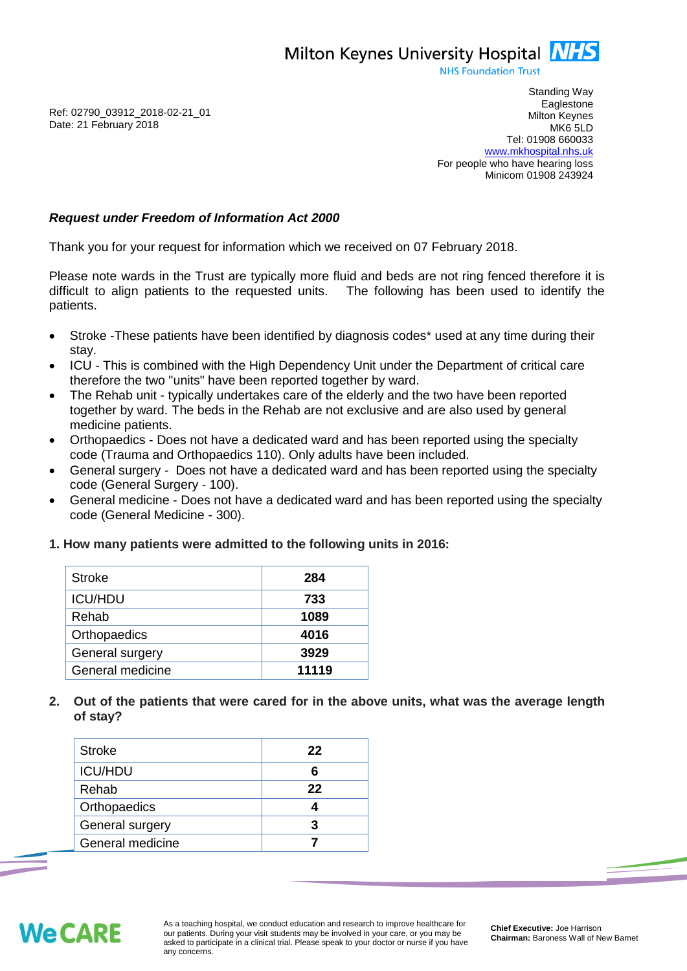Milton Keynes University Hospital **NHS** 

**NHS Foundation Trust** 

Ref: 02790\_03912\_2018-02-21\_01 Date: 21 February 2018

Standing Way **Eaglestone** Milton Keynes MK6 5LD Tel: 01908 660033 [www.mkhospital.nhs.uk](http://www.mkhospital.nhs.uk/) For people who have hearing loss Minicom 01908 243924

## *Request under Freedom of Information Act 2000*

Thank you for your request for information which we received on 07 February 2018.

Please note wards in the Trust are typically more fluid and beds are not ring fenced therefore it is difficult to align patients to the requested units. The following has been used to identify the patients.

- Stroke -These patients have been identified by diagnosis codes\* used at any time during their stay.
- ICU This is combined with the High Dependency Unit under the Department of critical care therefore the two "units" have been reported together by ward.
- The Rehab unit typically undertakes care of the elderly and the two have been reported together by ward. The beds in the Rehab are not exclusive and are also used by general medicine patients.
- Orthopaedics Does not have a dedicated ward and has been reported using the specialty code (Trauma and Orthopaedics 110). Only adults have been included.
- General surgery Does not have a dedicated ward and has been reported using the specialty code (General Surgery - 100).
- General medicine Does not have a dedicated ward and has been reported using the specialty code (General Medicine - 300).
- **1. How many patients were admitted to the following units in 2016:**

| <b>Stroke</b>    | 284   |
|------------------|-------|
| <b>ICU/HDU</b>   | 733   |
| Rehab            | 1089  |
| Orthopaedics     | 4016  |
| General surgery  | 3929  |
| General medicine | 11119 |
|                  |       |

**2. Out of the patients that were cared for in the above units, what was the average length of stay?**

| <b>Stroke</b>    | 22 |
|------------------|----|
| <b>ICU/HDU</b>   |    |
| Rehab            | 22 |
| Orthopaedics     |    |
| General surgery  | З  |
| General medicine |    |